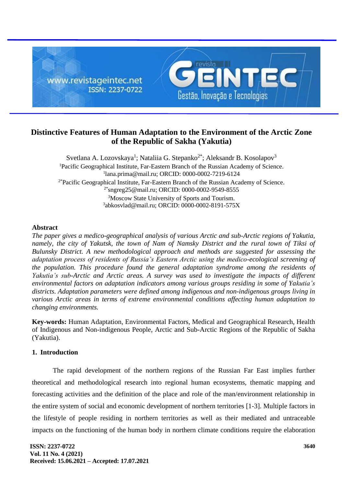

# **Distinctive Features of Human Adaptation to the Environment of the Arctic Zone of the Republic of Sakha (Yakutia)**

Svetlana A. Lozovskaya<sup>1</sup>; Nataliia G. Stepanko<sup>2\*</sup>; Aleksandr B. Kosolapov<sup>3</sup> <sup>1</sup>Pacific Geographical Institute, Far-Eastern Branch of the Russian Academy of Science. 1 [lana.prima@mail.ru;](mailto:1lana.prima@mail.ru) ORCID: 0000-0002-7219-6124  $2*$ Pacific Geographical Institute, Far-Eastern Branch of the Russian Academy of Science. 2\*sngreg25@mail.ru; ORCID: 0000-0002-9549-8555 <sup>3</sup>Moscow State University of Sports and Tourism. 3 abkosvlad@mail.ru; ORCID: 0000-0002-8191-575Х

#### **Abstract**

*The paper gives a medico-geographical analysis of various Arctic and sub-Arctic regions of Yakutia, namely, the city of Yakutsk, the town of Nam of Namsky District and the rural town of Tiksi of Bulunsky District. A new methodological approach and methods are suggested for assessing the adaptation process of residents of Russia's Eastern Arctic using the medico-ecological screening of the population. This procedure found the general adaptation syndrome among the residents of Yakutia's sub-Arctic and Arctic areas. A survey was used to investigate the impacts of different environmental factors on adaptation indicators among various groups residing in some of Yakutia's districts. Adaptation parameters were defined among indigenous and non-indigenous groups living in various Arctic areas in terms of extreme environmental conditions affecting human adaptation to changing environments.*

**Key-words:** Human Adaptation, Environmental Factors, Medical and Geographical Research, Health of Indigenous and Non-indigenous People, Arctic and Sub-Arctic Regions of the Republic of Sakha (Yakutia).

#### **1. Introduction**

The rapid development of the northern regions of the Russian Far East implies further theoretical and methodological research into regional human ecosystems, thematic mapping and forecasting activities and the definition of the place and role of the man/environment relationship in the entire system of social and economic development of northern territories [1-3]. Multiple factors in the lifestyle of people residing in northern territories as well as their mediated and untraceable impacts on the functioning of the human body in northern climate conditions require the elaboration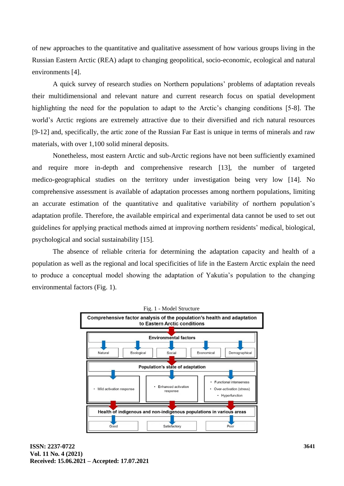of new approaches to the quantitative and qualitative assessment of how various groups living in the Russian Eastern Arctic (REA) adapt to changing geopolitical, socio-economic, ecological and natural environments [4].

A quick survey of research studies on Northern populations' problems of adaptation reveals their multidimensional and relevant nature and current research focus on spatial development highlighting the need for the population to adapt to the Arctic's changing conditions [5-8]. The world's Arctic regions are extremely attractive due to their diversified and rich natural resources [9-12] and, specifically, the artic zone of the Russian Far East is unique in terms of minerals and raw materials, with over 1,100 solid mineral deposits.

Nonetheless, most eastern Arctic and sub-Arctic regions have not been sufficiently examined and require more in-depth and comprehensive research [13], the number of targeted medico-geographical studies on the territory under investigation being very low [14]. No comprehensive assessment is available of adaptation processes among northern populations, limiting an accurate estimation of the quantitative and qualitative variability of northern population's adaptation profile. Therefore, the available empirical and experimental data cannot be used to set out guidelines for applying practical methods aimed at improving northern residents' medical, biological, psychological and social sustainability [15].

The absence of reliable criteria for determining the adaptation capacity and health of a population as well as the regional and local specificities of life in the Eastern Arctic explain the need to produce a conceptual model showing the adaptation of Yakutia's population to the changing environmental factors (Fig. 1).

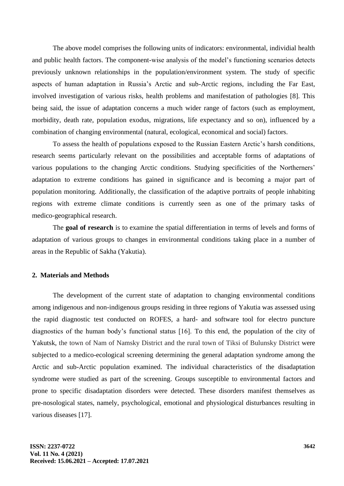The above model comprises the following units of indicators: environmental, individial health and public health factors. The component-wise analysis of the model's functioning scenarios detects previously unknown relationships in the population/environment system. The study of specific aspects of human adaptation in Russia's Arctic and sub-Arctic regions, including the Far East, involved investigation of various risks, health problems and manifestation of pathologies [8]. This being said, the issue of adaptation concerns a much wider range of factors (such as employment, morbidity, death rate, population exodus, migrations, life expectancy and so on), influenced by a combination of changing environmental (natural, ecological, economical and social) factors.

To assess the health of populations exposed to the Russian Eastern Arctic's harsh conditions, research seems particularly relevant on the possibilities and acceptable forms of adaptations of various populations to the changing Arctic conditions. Studying specificities of the Northerners' adaptation to extreme conditions has gained in significance and is becoming a major part of population monitoring. Additionally, the classification of the adaptive portraits of people inhabiting regions with extreme climate conditions is currently seen as one of the primary tasks of medico-geographical research.

The **goal of research** is to examine the spatial differentiation in terms of levels and forms of adaptation of various groups to changes in environmental conditions taking place in a number of areas in the Republic of Sakha (Yakutia).

### **2. Materials and Methods**

The development of the current state of adaptation to changing environmental conditions among indigenous and non-indigenous groups residing in three regions of Yakutia was assessed using the rapid diagnostic test conducted on ROFES, a hard- and software tool for electro puncture diagnostics of the human body's functional status [16]. To this end, the population of the city of Yakutsk, the town of Nam of Namsky District and the rural town of Tiksi of Bulunsky District were subjected to a medico-ecological screening determining the general adaptation syndrome among the Arctic and sub-Arctic population examined. The individual characteristics of the disadaptation syndrome were studied as part of the screening. Groups susceptible to environmental factors and prone to specific disadaptation disorders were detected. These disorders manifest themselves as pre-nosological states, namely, psychological, emotional and physiological disturbances resulting in various diseases [17].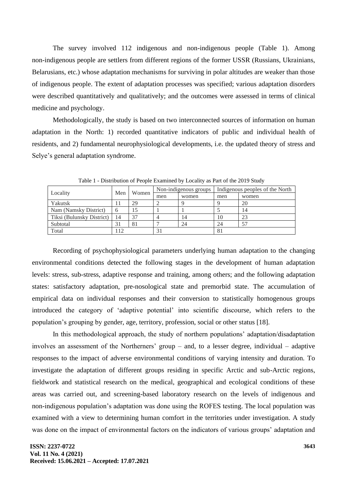The survey involved 112 indigenous and non-indigenous people (Table 1). Among non-indigenous people are settlers from different regions of the former USSR (Russians, Ukrainians, Belarusians, etc.) whose adaptation mechanisms for surviving in polar altitudes are weaker than those of indigenous people. The extent of adaptation processes was specified; various adaptation disorders were described quantitatively and qualitatively; and the outcomes were assessed in terms of clinical medicine and psychology.

Methodologically, the study is based on two interconnected sources of information on human adaptation in the North: 1) recorded quantitative indicators of public and individual health of residents, and 2) fundamental neurophysiological developments, i.e. the updated theory of stress and Selye's general adaptation syndrome.

|                           | Men | Women | Non-indigenous groups |       | Indigenous peoples of the North |       |  |
|---------------------------|-----|-------|-----------------------|-------|---------------------------------|-------|--|
| Locality                  |     |       | men                   | women | men                             | women |  |
| Yakutsk                   | Ħ   | 29    |                       |       |                                 | 20    |  |
| Nam (Namsky District)     | 6   | 15    |                       |       |                                 | 14    |  |
| Tiksi (Bulunsky District) | 14  | 37    |                       | 14    | 10                              | 23    |  |
| Subtotal                  | 31  | 81    |                       | 24    | 24                              |       |  |
| Total                     | 12  |       |                       |       | 81                              |       |  |

Table 1 - Distribution of People Examined by Locality as Part of the 2019 Study

Recording of psychophysiological parameters underlying human adaptation to the changing environmental conditions detected the following stages in the development of human adaptation levels: stress, sub-stress, adaptive response and training, among others; and the following adaptation states: satisfactory adaptation, pre-nosological state and premorbid state. The accumulation of empirical data on individual responses and their conversion to statistically homogenous groups introduced the category of 'adaptive potential' into scientific discourse, which refers to the population's grouping by gender, age, territory, profession, social or other status [18].

In this methodological approach, the study of northern populations' adaptation/disadaptation involves an assessment of the Northerners' group – and, to a lesser degree, individual – adaptive responses to the impact of adverse environmental conditions of varying intensity and duration. To investigate the adaptation of different groups residing in specific Arctic and sub-Arctic regions, fieldwork and statistical research on the medical, geographical and ecological conditions of these areas was carried out, and screening-based laboratory research on the levels of indigenous and non-indigenous population's adaptation was done using the ROFES testing. The local population was examined with a view to determining human comfort in the territories under investigation. A study was done on the impact of environmental factors on the indicators of various groups' adaptation and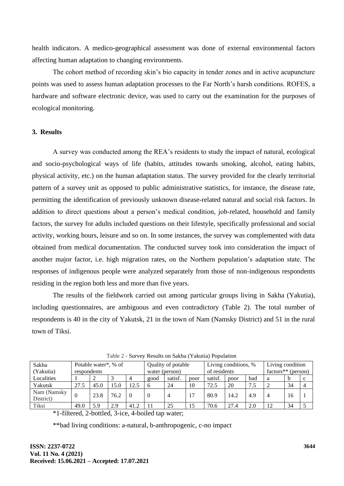health indicators. A medico-geographical assessment was done of external environmental factors affecting human adaptation to changing environments.

The cohort method of recording skin's bio capacity in tender zones and in active acupuncture points was used to assess human adaptation processes to the Far North's harsh conditions. ROFES, a hardware and software electronic device, was used to carry out the examination for the purposes of ecological monitoring.

#### **3. Results**

A survey was conducted among the REA's residents to study the impact of natural, ecological and socio-psychological ways of life (habits, attitudes towards smoking, alcohol, eating habits, physical activity, etc.) on the human adaptation status. The survey provided for the clearly territorial pattern of a survey unit as opposed to public administrative statistics, for instance, the disease rate, permitting the identification of previously unknown disease-related natural and social risk factors. In addition to direct questions about a person's medical condition, job-related, household and family factors, the survey for adults included questions on their lifestyle, specifically professional and social activity, working hours, leisure and so on. In some instances, the survey was complemented with data obtained from medical documentation. The conducted survey took into consideration the impact of another major factor, i.e. high migration rates, on the Northern population's adaptation state. The responses of indigenous people were analyzed separately from those of non-indigenous respondents residing in the region both less and more than five years.

The results of the fieldwork carried out among particular groups living in Sakha (Yakutia), including questionnaires, are ambiguous and even contradictory (Table 2). The total number of respondents is 40 in the city of Yakutsk, 21 in the town of Nam (Namsky District) and 51 in the rural town of Tiksi.

| $14000 \, \text{m}$ but very regard on bunna (Tanada) I opulation |                      |      |      |                |                    |         |                      |         |                      |     |    |    |   |
|-------------------------------------------------------------------|----------------------|------|------|----------------|--------------------|---------|----------------------|---------|----------------------|-----|----|----|---|
| Sakha                                                             | Potable water*, % of |      |      |                | Quality of potable |         | Living conditions, % |         | Living condition     |     |    |    |   |
| (Yakutia)                                                         | respondents          |      |      | water (person) |                    |         | of residents         |         | $factors** (person)$ |     |    |    |   |
| Localities                                                        |                      |      |      |                | good               | satisf. | poor                 | satisf. | poor                 | bad |    | b  | c |
| Yakutsk                                                           | 27.5                 | 45.0 | 15.0 | 12.5           | 6                  | 24      | 10                   | 72.5    | 20                   | 7.5 |    | 34 |   |
| Nam (Namsky<br>District)                                          |                      | 23.8 | 76.2 | $\Omega$       |                    | 4       | -17                  | 80.9    | 14.2                 | 4.9 |    | 16 |   |
| Tiksi                                                             | 49.0                 | 5.9  | 2.9  | 41.2           |                    | 25      | 15                   | 70.6    | 27.4                 | 2.0 | 12 | 34 |   |

Table 2 - Survey Results on Sakha (Yakutia) Population

\*1-filtered, 2-bottled, 3-ice, 4-boiled tap water;

\*\*bad living conditions: a-natural, b-anthropogenic, c-no impact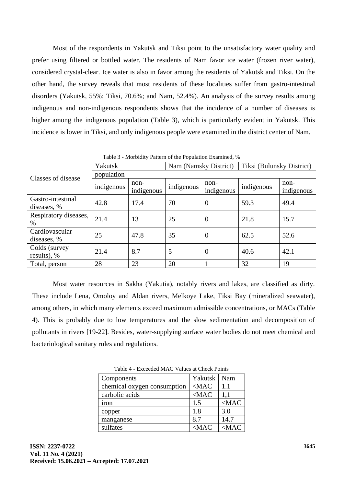Most of the respondents in Yakutsk and Tiksi point to the unsatisfactory water quality and prefer using filtered or bottled water. The residents of Nam favor ice water (frozen river water), considered crystal-clear. Ice water is also in favor among the residents of Yakutsk and Tiksi. On the other hand, the survey reveals that most residents of these localities suffer from gastro-intestinal disorders (Yakutsk, 55%; Tiksi, 70.6%; and Nam, 52.4%). An analysis of the survey results among indigenous and non-indigenous respondents shows that the incidence of a number of diseases is higher among the indigenous population (Table 3), which is particularly evident in Yakutsk. This incidence is lower in Tiksi, and only indigenous people were examined in the district center of Nam.

|                                  | Yakutsk    |                      | Nam (Namsky District) |                    | Tiksi (Bulunsky District) |                    |  |  |
|----------------------------------|------------|----------------------|-----------------------|--------------------|---------------------------|--------------------|--|--|
| Classes of disease               | population |                      |                       |                    |                           |                    |  |  |
|                                  | indigenous | $non-$<br>indigenous | indigenous            | non-<br>indigenous | indigenous                | non-<br>indigenous |  |  |
| Gastro-intestinal<br>diseases, % | 42.8       | 17.4                 | 70                    | $\theta$           | 59.3                      | 49.4               |  |  |
| Respiratory diseases,<br>$\%$    | 21.4       | 13                   | 25                    | $\overline{0}$     | 21.8                      | 15.7               |  |  |
| Cardiovascular<br>diseases, %    | 25         | 47.8                 | 35                    | $\theta$           | 62.5                      | 52.6               |  |  |
| Colds (survey<br>results), %     | 21.4       | 8.7                  | 5                     | $\theta$           | 40.6                      | 42.1               |  |  |
| Total, person                    | 28         | 23                   | 20                    |                    | 32                        | 19                 |  |  |

Table 3 - Morbidity Pattern of the Population Examined, %

Most water resources in Sakha (Yakutia), notably rivers and lakes, are classified as dirty. These include Lena, Omoloy and Aldan rivers, Melkoye Lake, Tiksi Bay (mineralized seawater), among others, in which many elements exceed maximum admissible concentrations, or MACs (Table 4). This is probably due to low temperatures and the slow sedimentation and decomposition of pollutants in rivers [19-22]. Besides, water-supplying surface water bodies do not meet chemical and bacteriological sanitary rules and regulations.

| Table 4 - Exceeded MAC Values at Check Points |
|-----------------------------------------------|
|-----------------------------------------------|

| Components                  | Yakutsk | Nam     |
|-----------------------------|---------|---------|
| chemical oxygen consumption | $<$ MAC | 1.1     |
| carbolic acids              | $<$ MAC | 1,1     |
| iron                        | 1.5     | $<$ MAC |
| copper                      | 1.8     | 3.0     |
| manganese                   | 8.7     | 14.7    |
| sulfates                    | $<$ MAC | $<$ MAC |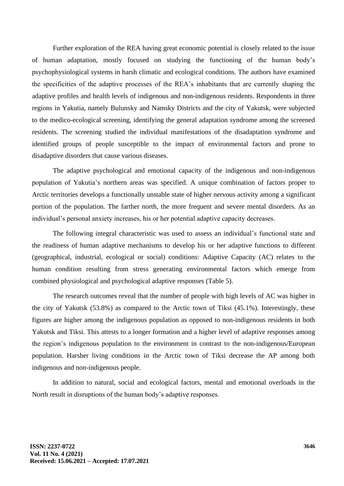Further exploration of the REA having great economic potential is closely related to the issue of human adaptation, mostly focused on studying the functioning of the human body's psychophysiological systems in harsh climatic and ecological conditions. The authors have examined the specificities of the adaptive processes of the REA's inhabitants that are currently shaping the adaptive profiles and health levels of indigenous and non-indigenous residents. Respondents in three regions in Yakutia, namely Bulunsky and Namsky Districts and the city of Yakutsk, were subjected to the medico-ecological screening, identifying the general adaptation syndrome among the screened residents. The screening studied the individual manifestations of the disadaptation syndrome and identified groups of people susceptible to the impact of environmental factors and prone to disadaptive disorders that cause various diseases.

The adaptive psychological and emotional capacity of the indigenous and non-indigenous population of Yakutia's northern areas was specified. A unique combination of factors proper to Arctic territories develops a functionally unstable state of higher nervous activity among a significant portion of the population. The farther north, the more frequent and severe mental disorders. As an individual's personal anxiety increases, his or her potential adaptive capacity decreases.

The following integral characteristic was used to assess an individual's functional state and the readiness of human adaptive mechanisms to develop his or her adaptive functions to different (geographical, industrial, ecological or social) conditions: Adaptive Capacity (AC) relates to the human condition resulting from stress generating environmental factors which emerge from combined physiological and psychological adaptive responses (Table 5).

The research outcomes reveal that the number of people with high levels of AC was higher in the city of Yakutsk (53.8%) as compared to the Arctic town of Tiksi (45.1%). Interestingly, these figures are higher among the indigenous population as opposed to non-indigenous residents in both Yakutsk and Tiksi. This attests to a longer formation and a higher level of adaptive responses among the region's indigenous population to the environment in contrast to the non-indigenous/European population. Harsher living conditions in the Arctic town of Tiksi decrease the AP among both indigenous and non-indigenous people.

In addition to natural, social and ecological factors, mental and emotional overloads in the North result in disruptions of the human body's adaptive responses.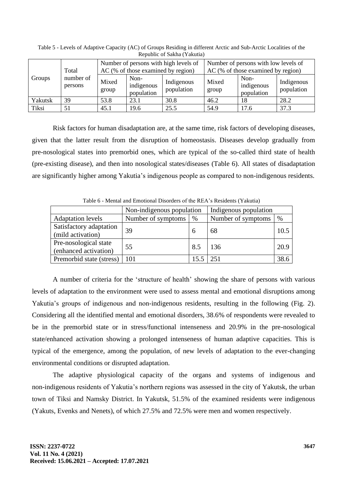| Groups  | Total                |                | AC (% of those examined by region) | Number of persons with high levels of | Number of persons with low levels of<br>$AC$ (% of those examined by region) |                                  |                          |  |  |
|---------|----------------------|----------------|------------------------------------|---------------------------------------|------------------------------------------------------------------------------|----------------------------------|--------------------------|--|--|
|         | number of<br>persons | Mixed<br>group | Non-<br>indigenous<br>population   | Indigenous<br>population              | Mixed<br>group                                                               | Non-<br>indigenous<br>population | Indigenous<br>population |  |  |
| Yakutsk | 39                   | 53.8           | 23.1                               | 30.8                                  | 46.2                                                                         | 18                               | 28.2                     |  |  |
| Tiksi   | 51                   | 45.1           | 19.6                               | 25.5                                  | 54.9                                                                         | 17.6                             | 37.3                     |  |  |

Table 5 - Levels of Adaptive Capacity (AC) of Groups Residing in different Arctic and Sub-Arctic Localities of the Republic of Sakha (Yakutia)

Risk factors for human disadaptation are, at the same time, risk factors of developing diseases, given that the latter result from the disruption of homeostasis. Diseases develop gradually from pre-nosological states into premorbid ones, which are typical of the so-called third state of health (pre-existing disease), and then into nosological states/diseases (Table 6). All states of disadaptation are significantly higher among Yakutia's indigenous people as compared to non-indigenous residents.

| Table of themal and Emonomal Disorders of the KE/V's Residents (Takuta) |                           |      |                       |      |  |  |  |  |
|-------------------------------------------------------------------------|---------------------------|------|-----------------------|------|--|--|--|--|
|                                                                         | Non-indigenous population |      | Indigenous population |      |  |  |  |  |
| <b>Adaptation</b> levels                                                | Number of symptoms        | $\%$ | Number of symptoms    | %    |  |  |  |  |
| Satisfactory adaptation<br>(mild activation)                            | 39                        | 6    | 68                    | 10.5 |  |  |  |  |
| Pre-nosological state<br>(enhanced activation)                          | 55                        | 8.5  | 136                   | 20.9 |  |  |  |  |
| Premorbid state (stress)                                                | 101                       |      | 251                   | 38.6 |  |  |  |  |

Table 6 - Mental and Emotional Disorders of the REA's Residents (Yakutia)

A number of criteria for the 'structure of health' showing the share of persons with various levels of adaptation to the environment were used to assess mental and emotional disruptions among Yakutia's groups of indigenous and non-indigenous residents, resulting in the following (Fig. 2). Considering all the identified mental and emotional disorders, 38.6% of respondents were revealed to be in the premorbid state or in stress/functional intenseness and 20.9% in the pre-nosological state/enhanced activation showing a prolonged intenseness of human adaptive capacities. This is typical of the emergence, among the population, of new levels of adaptation to the ever-changing environmental conditions or disrupted adaptation.

The adaptive physiological capacity of the organs and systems of indigenous and non-indigenous residents of Yakutia's northern regions was assessed in the city of Yakutsk, the urban town of Tiksi and Namsky District. In Yakutsk, 51.5% of the examined residents were indigenous (Yakuts, Evenks and Nenets), of which 27.5% and 72.5% were men and women respectively.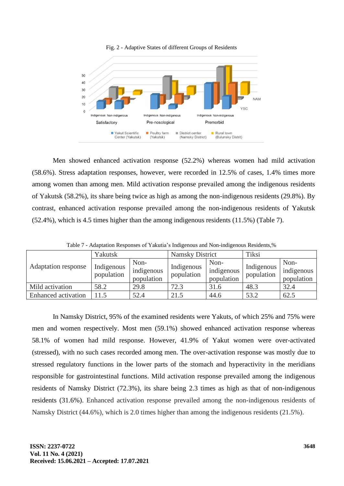

Men showed enhanced activation response (52.2%) whereas women had mild activation (58.6%). Stress adaptation responses, however, were recorded in 12.5% of cases, 1.4% times more among women than among men. Mild activation response prevailed among the indigenous residents of Yakutsk (58.2%), its share being twice as high as among the non-indigenous residents (29.8%). By contrast, enhanced activation response prevailed among the non-indigenous residents of Yakutsk (52.4%), which is 4.5 times higher than the among indigenous residents (11.5%) (Table 7).

| Adaptation response | Yakutsk                  |                                  | <b>Namsky District</b>   |                                  | Tiksi                    |                                  |  |
|---------------------|--------------------------|----------------------------------|--------------------------|----------------------------------|--------------------------|----------------------------------|--|
|                     | Indigenous<br>population | Non-<br>indigenous<br>population | Indigenous<br>population | Non-<br>indigenous<br>population | Indigenous<br>population | Non-<br>indigenous<br>population |  |
| Mild activation     | 58.2                     | 29.8                             | 72.3                     | 31.6                             | 48.3                     | 32.4                             |  |
| Enhanced activation | 11.5                     | 52.4                             | 21.5                     | 44.6                             | 53.2                     | 62.5                             |  |

Table 7 - Adaptation Responses of Yakutia's Indigenous and Non-indigenous Residents,%

In Namsky District, 95% of the examined residents were Yakuts, of which 25% and 75% were men and women respectively. Most men (59.1%) showed enhanced activation response whereas 58.1% of women had mild response. However, 41.9% of Yakut women were over-activated (stressed), with no such cases recorded among men. The over-activation response was mostly due to stressed regulatory functions in the lower parts of the stomach and hyperactivity in the meridians responsible for gastrointestinal functions. Mild activation response prevailed among the indigenous residents of Namsky District (72.3%), its share being 2.3 times as high as that of non-indigenous residents (31.6%). Enhanced activation response prevailed among the non-indigenous residents of Namsky District (44.6%), which is 2.0 times higher than among the indigenous residents (21.5%).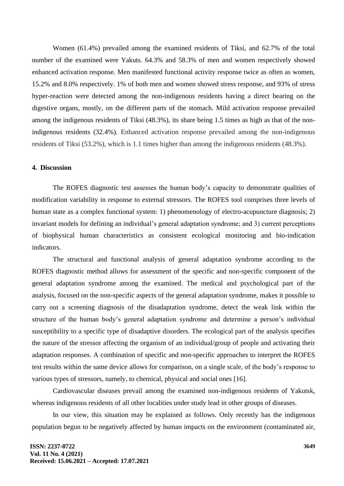Women (61.4%) prevailed among the examined residents of Tiksi, and 62.7% of the total number of the examined were Yakuts. 64.3% and 58.3% of men and women respectively showed enhanced activation response. Men manifested functional activity response twice as often as women, 15.2% and 8.0% respectively. 1% of both men and women showed stress response, and 93% of stress hyper-reaction were detected among the non-indigenous residents having a direct bearing on the digestive organs, mostly, on the different parts of the stomach. Mild activation response prevailed among the indigenous residents of Tiksi (48.3%), its share being 1.5 times as high as that of the nonindigenous residents (32.4%). Enhanced activation response prevailed among the non-indigenous residents of Tiksi (53.2%), which is 1.1 times higher than among the indigenous residents (48.3%).

### **4. Discussion**

The ROFES diagnostic test assesses the human body's capacity to demonstrate qualities of modification variability in response to external stressors. The ROFES tool comprises three levels of human state as a complex functional system: 1) phenomenology of electro-acupuncture diagnosis; 2) invariant models for defining an individual's general adaptation syndrome; and 3) current perceptions of biophysical human characteristics as consistent ecological monitoring and bio-indication indicators.

The structural and functional analysis of general adaptation syndrome according to the ROFES diagnostic method allows for assessment of the specific and non-specific component of the general adaptation syndrome among the examined. The medical and psychological part of the analysis, focused on the non-specific aspects of the general adaptation syndrome, makes it possible to carry out a screening diagnosis of the disadaptation syndrome, detect the weak link within the structure of the human body's general adaptation syndrome and determine a person's individual susceptibility to a specific type of disadaptive disorders. The ecological part of the analysis specifies the nature of the stressor affecting the organism of an individual/group of people and activating their adaptation responses. A combination of specific and non-specific approaches to interpret the ROFES test results within the same device allows for comparison, on a single scale, of the body's response to various types of stressors, namely, to chemical, physical and social ones [16].

Cardiovascular diseases prevail among the examined non-indigenous residents of Yakutsk, whereas indigenous residents of all other localities under study lead in other groups of diseases.

In our view, this situation may be explained as follows. Only recently has the indigenous population begun to be negatively affected by human impacts on the environment (contaminated air,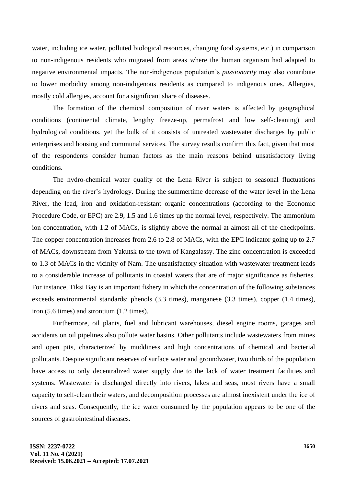water, including ice water, polluted biological resources, changing food systems, etc.) in comparison to non-indigenous residents who migrated from areas where the human organism had adapted to negative environmental impacts. The non-indigenous population's *passionarity* may also contribute to lower morbidity among non-indigenous residents as compared to indigenous ones. Allergies, mostly cold allergies, account for a significant share of diseases.

The formation of the chemical composition of river waters is affected by geographical conditions (continental climate, lengthy freeze-up, permafrost and low self-cleaning) and hydrological conditions, yet the bulk of it consists of untreated wastewater discharges by public enterprises and housing and communal services. The survey results confirm this fact, given that most of the respondents consider human factors as the main reasons behind unsatisfactory living conditions.

The hydro-chemical water quality of the Lena River is subject to seasonal fluctuations depending on the river's hydrology. During the summertime decrease of the water level in the Lena River, the lead, iron and oxidation-resistant organic concentrations (according to the Economic Procedure Code, or EPC) are 2.9, 1.5 and 1.6 times up the normal level, respectively. The ammonium ion concentration, with 1.2 of MACs, is slightly above the normal at almost all of the checkpoints. The copper concentration increases from 2.6 to 2.8 of MACs, with the EPC indicator going up to 2.7 of MACs, downstream from Yakutsk to the town of Kangalassy. The zinc concentration is exceeded to 1.3 of MACs in the vicinity of Nam. The unsatisfactory situation with wastewater treatment leads to a considerable increase of pollutants in coastal waters that are of major significance as fisheries. For instance, Tiksi Bay is an important fishery in which the concentration of the following substances exceeds environmental standards: phenols (3.3 times), manganese (3.3 times), copper (1.4 times), iron (5.6 times) and strontium (1.2 times).

Furthermore, oil plants, fuel and lubricant warehouses, diesel engine rooms, garages and accidents on oil pipelines also pollute water basins. Other pollutants include wastewaters from mines and open pits, characterized by muddiness and high concentrations of chemical and bacterial pollutants. Despite significant reserves of surface water and groundwater, two thirds of the population have access to only decentralized water supply due to the lack of water treatment facilities and systems. Wastewater is discharged directly into rivers, lakes and seas, most rivers have a small capacity to self-clean their waters, and decomposition processes are almost inexistent under the ice of rivers and seas. Consequently, the ice water consumed by the population appears to be one of the sources of gastrointestinal diseases.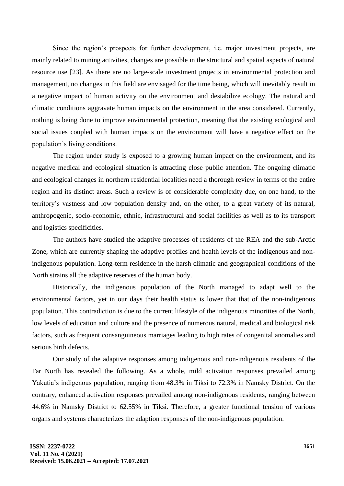Since the region's prospects for further development, i.e. major investment projects, are mainly related to mining activities, changes are possible in the structural and spatial aspects of natural resource use [23]. As there are no large-scale investment projects in environmental protection and management, no changes in this field are envisaged for the time being, which will inevitably result in a negative impact of human activity on the environment and destabilize ecology. The natural and climatic conditions aggravate human impacts on the environment in the area considered. Currently, nothing is being done to improve environmental protection, meaning that the existing ecological and social issues coupled with human impacts on the environment will have a negative effect on the population's living conditions.

The region under study is exposed to a growing human impact on the environment, and its negative medical and ecological situation is attracting close public attention. The ongoing climatic and ecological changes in northern residential localities need a thorough review in terms of the entire region and its distinct areas. Such a review is of considerable complexity due, on one hand, to the territory's vastness and low population density and, on the other, to a great variety of its natural, anthropogenic, socio-economic, ethnic, infrastructural and social facilities as well as to its transport and logistics specificities.

The authors have studied the adaptive processes of residents of the REA and the sub-Arctic Zone, which are currently shaping the adaptive profiles and health levels of the indigenous and nonindigenous population. Long-term residence in the harsh climatic and geographical conditions of the North strains all the adaptive reserves of the human body.

Historically, the indigenous population of the North managed to adapt well to the environmental factors, yet in our days their health status is lower that that of the non-indigenous population. This contradiction is due to the current lifestyle of the indigenous minorities of the North, low levels of education and culture and the presence of numerous natural, medical and biological risk factors, such as frequent consanguineous marriages leading to high rates of congenital anomalies and serious birth defects.

Our study of the adaptive responses among indigenous and non-indigenous residents of the Far North has revealed the following. As a whole, mild activation responses prevailed among Yakutia's indigenous population, ranging from 48.3% in Tiksi to 72.3% in Namsky District. On the contrary, enhanced activation responses prevailed among non-indigenous residents, ranging between 44.6% in Namsky District to 62.55% in Tiksi. Therefore, a greater functional tension of various organs and systems characterizes the adaption responses of the non-indigenous population.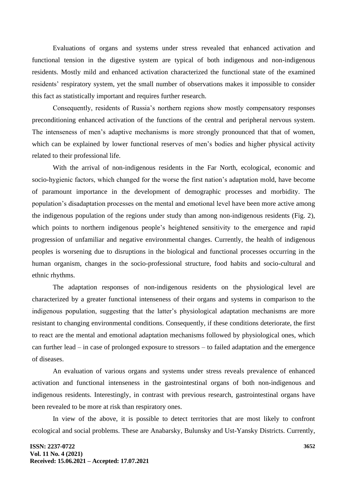Evaluations of organs and systems under stress revealed that enhanced activation and functional tension in the digestive system are typical of both indigenous and non-indigenous residents. Mostly mild and enhanced activation characterized the functional state of the examined residents' respiratory system, yet the small number of observations makes it impossible to consider this fact as statistically important and requires further research.

Consequently, residents of Russia's northern regions show mostly compensatory responses preconditioning enhanced activation of the functions of the central and peripheral nervous system. The intenseness of men's adaptive mechanisms is more strongly pronounced that that of women, which can be explained by lower functional reserves of men's bodies and higher physical activity related to their professional life.

With the arrival of non-indigenous residents in the Far North, ecological, economic and socio-hygienic factors, which changed for the worse the first nation's adaptation mold, have become of paramount importance in the development of demographic processes and morbidity. The population's disadaptation processes on the mental and emotional level have been more active among the indigenous population of the regions under study than among non-indigenous residents (Fig. 2), which points to northern indigenous people's heightened sensitivity to the emergence and rapid progression of unfamiliar and negative environmental changes. Currently, the health of indigenous peoples is worsening due to disruptions in the biological and functional processes occurring in the human organism, changes in the socio-professional structure, food habits and socio-cultural and ethnic rhythms.

The adaptation responses of non-indigenous residents on the physiological level are characterized by a greater functional intenseness of their organs and systems in comparison to the indigenous population, suggesting that the latter's physiological adaptation mechanisms are more resistant to changing environmental conditions. Consequently, if these conditions deteriorate, the first to react are the mental and emotional adaptation mechanisms followed by physiological ones, which can further lead – in case of prolonged exposure to stressors – to failed adaptation and the emergence of diseases.

An evaluation of various organs and systems under stress reveals prevalence of enhanced activation and functional intenseness in the gastrointestinal organs of both non-indigenous and indigenous residents. Interestingly, in contrast with previous research, gastrointestinal organs have been revealed to be more at risk than respiratory ones.

In view of the above, it is possible to detect territories that are most likely to confront ecological and social problems. These are Anabarsky, Bulunsky and Ust-Yansky Districts. Currently,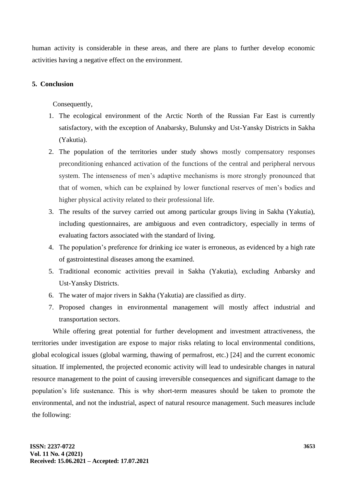human activity is considerable in these areas, and there are plans to further develop economic activities having a negative effect on the environment.

## **5. Conclusion**

Consequently,

- 1. The ecological environment of the Arctic North of the Russian Far East is currently satisfactory, with the exception of Anabarsky, Bulunsky and Ust-Yansky Districts in Sakha (Yakutia).
- 2. The population of the territories under study shows mostly compensatory responses preconditioning enhanced activation of the functions of the central and peripheral nervous system. The intenseness of men's adaptive mechanisms is more strongly pronounced that that of women, which can be explained by lower functional reserves of men's bodies and higher physical activity related to their professional life.
- 3. The results of the survey carried out among particular groups living in Sakha (Yakutia), including questionnaires, are ambiguous and even contradictory, especially in terms of evaluating factors associated with the standard of living.
- 4. The population's preference for drinking ice water is erroneous, as evidenced by a high rate of gastrointestinal diseases among the examined.
- 5. Traditional economic activities prevail in Sakha (Yakutia), excluding Anbarsky and Ust-Yansky Districts.
- 6. The water of major rivers in Sakha (Yakutia) are classified as dirty.
- 7. Proposed changes in environmental management will mostly affect industrial and transportation sectors.

While offering great potential for further development and investment attractiveness, the territories under investigation are expose to major risks relating to local environmental conditions, global ecological issues (global warming, thawing of permafrost, etc.) [24] and the current economic situation. If implemented, the projected economic activity will lead to undesirable changes in natural resource management to the point of causing irreversible consequences and significant damage to the population's life sustenance. This is why short-term measures should be taken to promote the environmental, and not the industrial, aspect of natural resource management. Such measures include the following: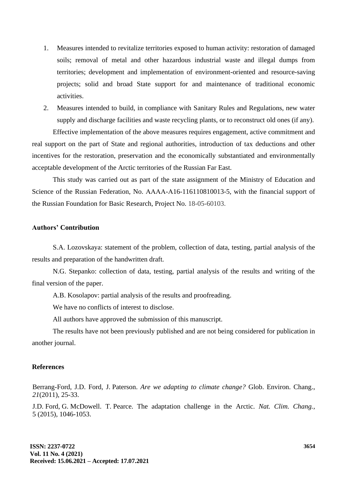- 1. Measures intended to revitalize territories exposed to human activity: restoration of damaged soils; removal of metal and other hazardous industrial waste and illegal dumps from territories; development and implementation of environment-oriented and resource-saving projects; solid and broad State support for and maintenance of traditional economic activities.
- 2. Measures intended to build, in compliance with Sanitary Rules and Regulations, new water supply and discharge facilities and waste recycling plants, or to reconstruct old ones (if any).

Effective implementation of the above measures requires engagement, active commitment and real support on the part of State and regional authorities, introduction of tax deductions and other incentives for the restoration, preservation and the economically substantiated and environmentally acceptable development of the Arctic territories of the Russian Far East.

This study was carried out as part of the state assignment of the Ministry of Education and Science of the Russian Federation, No. AAAA-A16-116110810013-5, with the financial support of the Russian Foundation for Basic Research, Project No. 18-05-60103.

#### **Authors' Contribution**

S.A. Lozovskaya: statement of the problem, collection of data, testing, partial analysis of the results and preparation of the handwritten draft.

N.G. Stepanko: collection of data, testing, partial analysis of the results and writing of the final version of the paper.

A.B. Kosolapov: partial analysis of the results and proofreading.

We have no conflicts of interest to disclose.

All authors have approved the submission of this manuscript.

The results have not been previously published and are not being considered for publication in another journal.

#### **References**

Berrang-Ford, J.D. Ford, J. Paterson. *Are we adapting to climate change?* Glob. Environ. Chang., *21*(2011), 25-33.

J.D. Ford, G. McDowell. T. Pearce. The adaptation challenge in the Arctic. *Nat. Clim. Chang.,* 5 (2015), 1046-1053.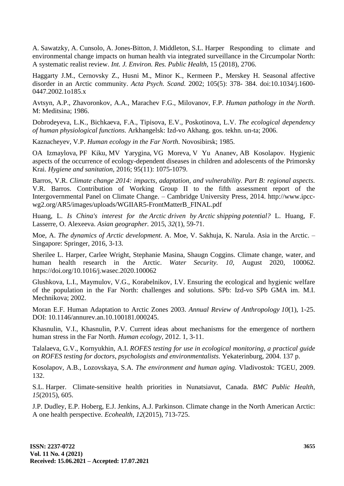A. Sawatzky, A. Cunsolo, A. Jones-Bitton, J. Middleton, S.L. Harper Responding to climate and environmental change impacts on human health via integrated surveillance in the Circumpolar North: A systematic realist review. *Int. J. Environ. Res. Public Health,* 15 (2018), 2706.

Haggarty J.M., Cernovsky Z., Husni M., Minor K., Kermeen P., Merskey H. Seasonal affective disorder in an Arctic community. *Acta Psych. Scand.* 2002; 105(5): 378- 384. doi:10.1034/j.1600- 0447.2002.1o185.x

Avtsyn, A.P., Zhavoronkov, A.A., Marachev F.G., Milovanov, F.P. *Human pathology in the North.* M: Meditsina; 1986.

Dobrodeyeva, L.K., Bichkaeva, F.A., Tipisova, E.V., Poskotinova, L.V. *The ecological dependency of human physiological functions.* Arkhangelsk: Izd-vo Akhang. gos. tekhn. un-ta; 2006.

Kaznacheyev, V.P. *Human ecology in the Far North.* Novosibirsk; 1985.

OA Izmaylova, PF Kiku, MV Yarygina, VG Moreva, V Yu Ananev, AB Kosolapov. Hygienic aspects of the occurrence of ecology-dependent diseases in children and adolescents of the Primorsky Krai. *Hygiene and sanitation,* 2016; 95(11): 1075-1079.

Barros, V.R. *Climate change 2014: impacts, adaptation, and vulnerability. Part B: regional aspects.* V.R. Barros. Contribution of Working Group II to the fifth assessment report of the Intergovernmental Panel on Climate Change. – Cambridge University Press, 2014. http://www.ipccwg2.org/AR5/images/uploads/WGIIAR5-FrontMatterB\_FINAL.pdf

Huang, L. *Is China's interest for the Arctic driven by Arctic shipping potential?* L. Huang, F. Lasserre, O. Alexeeva. *Asian geographer.* 2015, *32*(1), 59-71.

Moe, A. *The dynamics of Arctic development*. A. Moe, V. Sakhuja, K. Narula. Asia in the Arctic. – Singapore: Springer, 2016, 3-13.

Sherilee L. Harper, Carlee Wright, Stephanie Masina, Shaugn Coggins. Climate change, water, and human health research in the Arctic. *Water Security. 10,* August 2020, 100062. https://doi.org/10.1016/j.wasec.2020.100062

Glushkova, L.I., Maymulov, V.G., Korabelnikov, I.V. Ensuring the ecological and hygienic welfare of the population in the Far North: challenges and solutions. SPb: Izd-vo SPb GMA im. M.I. Mechnikova; 2002.

Moran E.F. Human Adaptation to Arctic Zones 2003. *Annual Review of Anthropology 10*(1), 1-25. DOI: 10.1146/annurev.an.10.100181.000245.

Khasnulin, V.I., Khasnulin, P.V. Current ideas about mechanisms for the emergence of northern human stress in the Far North. *Human ecology,* 2012. 1, 3-11.

Talalaeva, G.V., Kornyukhin, A.I. *ROFES testing for use in ecological monitoring, a practical guide on ROFES testing for doctors, psychologists and environmentalists.* Yekaterinburg, 2004. 137 p.

Kosolapov, A.B., Lozovskaya, S.A. *The environment and human aging.* Vladivostok: TGEU, 2009. 132.

S.L. Harper. Climate-sensitive health priorities in Nunatsiavut, Canada. *BMC Public Health, 15*(2015), 605.

J.P. Dudley, E.P. Hoberg, E.J. Jenkins, A.J. Parkinson. Climate change in the North American Arctic: A one health perspective. *Ecohealth, 12*(2015), 713-725.